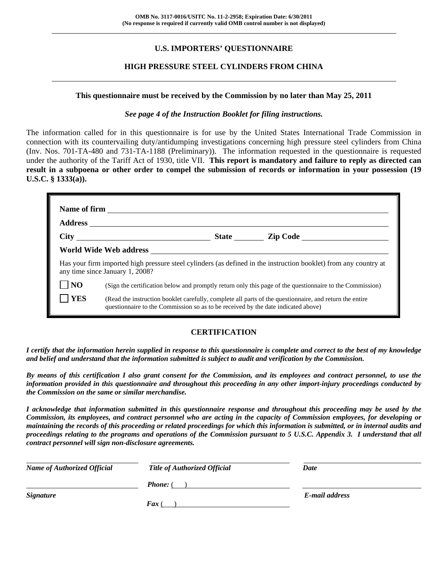# **U.S. IMPORTERS' QUESTIONNAIRE**

#### **HIGH PRESSURE STEEL CYLINDERS FROM CHINA**

#### **This questionnaire must be received by the Commission by no later than May 25, 2011**

#### *See page 4 of the Instruction Booklet for filing instructions.*

The information called for in this questionnaire is for use by the United States International Trade Commission in connection with its countervailing duty/antidumping investigations concerning high pressure steel cylinders from China (Inv. Nos. 701-TA-480 and 731-TA-1188 (Preliminary)). The information requested in the questionnaire is requested under the authority of the Tariff Act of 1930, title VII. **This report is mandatory and failure to reply as directed can result in a subpoena or other order to compel the submission of records or information in your possession (19 U.S.C. § 1333(a)).** 

|                | any time since January 1, 2008?                                                   |                                                                                                          | Has your firm imported high pressure steel cylinders (as defined in the instruction booklet) from any country at |  |  |  |
|----------------|-----------------------------------------------------------------------------------|----------------------------------------------------------------------------------------------------------|------------------------------------------------------------------------------------------------------------------|--|--|--|
| N <sub>O</sub> |                                                                                   | (Sign the certification below and promptly return only this page of the questionnaire to the Commission) |                                                                                                                  |  |  |  |
| <b>YES</b>     | questionnaire to the Commission so as to be received by the date indicated above) |                                                                                                          | (Read the instruction booklet carefully, complete all parts of the questionnaire, and return the entire          |  |  |  |

#### **CERTIFICATION**

*I certify that the information herein supplied in response to this questionnaire is complete and correct to the best of my knowledge and belief and understand that the information submitted is subject to audit and verification by the Commission.* 

*By means of this certification I also grant consent for the Commission, and its employees and contract personnel, to use the information provided in this questionnaire and throughout this proceeding in any other import-injury proceedings conducted by the Commission on the same or similar merchandise.* 

*I acknowledge that information submitted in this questionnaire response and throughout this proceeding may be used by the Commission, its employees, and contract personnel who are acting in the capacity of Commission employees, for developing or maintaining the records of this proceeding or related proceedings for which this information is submitted, or in internal audits and proceedings relating to the programs and operations of the Commission pursuant to 5 U.S.C. Appendix 3. I understand that all contract personnel will sign non-disclosure agreements.* 

| <b>Name of Authorized Official</b> | <b>Title of Authorized Official</b> | Date           |
|------------------------------------|-------------------------------------|----------------|
|                                    | <b>Phone:</b> (                     |                |
| <i><b>Signature</b></i>            |                                     | E-mail address |
|                                    | <b>Fax</b> (                        |                |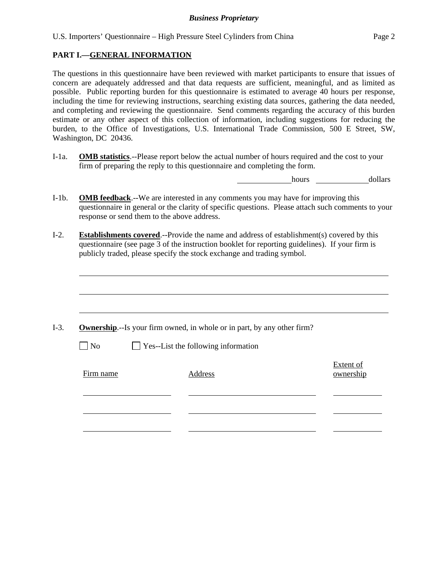#### **PART I.—GENERAL INFORMATION**

l

The questions in this questionnaire have been reviewed with market participants to ensure that issues of concern are adequately addressed and that data requests are sufficient, meaningful, and as limited as possible. Public reporting burden for this questionnaire is estimated to average 40 hours per response, including the time for reviewing instructions, searching existing data sources, gathering the data needed, and completing and reviewing the questionnaire. Send comments regarding the accuracy of this burden estimate or any other aspect of this collection of information, including suggestions for reducing the burden, to the Office of Investigations, U.S. International Trade Commission, 500 E Street, SW, Washington, DC 20436.

I-1a. **OMB statistics**.--Please report below the actual number of hours required and the cost to your firm of preparing the reply to this questionnaire and completing the form.

hours dollars

- I-1b. **OMB feedback**.--We are interested in any comments you may have for improving this questionnaire in general or the clarity of specific questions. Please attach such comments to your response or send them to the above address.
- I-2. **Establishments covered**.--Provide the name and address of establishment(s) covered by this questionnaire (see page 3 of the instruction booklet for reporting guidelines). If your firm is publicly traded, please specify the stock exchange and trading symbol.

|                   | <b>Ownership.</b> --Is your firm owned, in whole or in part, by any other firm? |                        |
|-------------------|---------------------------------------------------------------------------------|------------------------|
| $\blacksquare$ No | $\Box$ Yes--List the following information                                      |                        |
| Firm name         | Address                                                                         | Extent of<br>ownership |
|                   |                                                                                 |                        |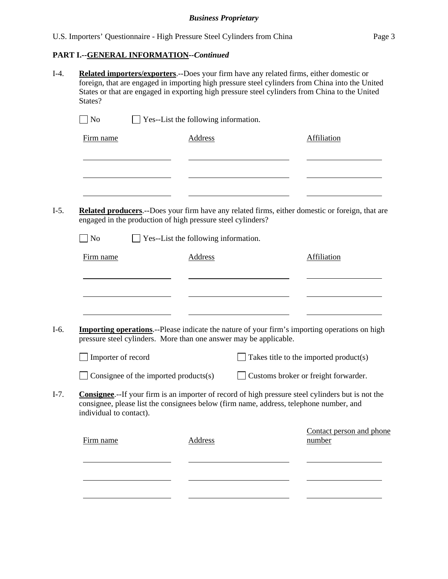# **PART I.--GENERAL INFORMATION***--Continued*

| States?                                                                                                           |                                      | Related importers/exporters.--Does your firm have any related firms, either domestic or<br>foreign, that are engaged in importing high pressure steel cylinders from China into the United<br>States or that are engaged in exporting high pressure steel cylinders from China to the United |
|-------------------------------------------------------------------------------------------------------------------|--------------------------------------|----------------------------------------------------------------------------------------------------------------------------------------------------------------------------------------------------------------------------------------------------------------------------------------------|
| $\log$                                                                                                            | Yes--List the following information. |                                                                                                                                                                                                                                                                                              |
| Firm name                                                                                                         | <b>Address</b>                       | Affiliation                                                                                                                                                                                                                                                                                  |
|                                                                                                                   |                                      |                                                                                                                                                                                                                                                                                              |
| engaged in the production of high pressure steel cylinders?                                                       |                                      | <b>Related producers.</b> --Does your firm have any related firms, either domestic or foreign, that are                                                                                                                                                                                      |
| $\Box$ No                                                                                                         | Yes--List the following information. |                                                                                                                                                                                                                                                                                              |
| Firm name                                                                                                         | Address                              | Affiliation                                                                                                                                                                                                                                                                                  |
| pressure steel cylinders. More than one answer may be applicable.                                                 |                                      | <b>Importing operations</b> .--Please indicate the nature of your firm's importing operations on high                                                                                                                                                                                        |
| Importer of record                                                                                                |                                      | Takes title to the imported product(s)                                                                                                                                                                                                                                                       |
| Consignee of the imported products(s)                                                                             |                                      | Customs broker or freight forwarder.                                                                                                                                                                                                                                                         |
| consignee, please list the consignees below (firm name, address, telephone number, and<br>individual to contact). |                                      | <b>Consignee.</b> --If your firm is an importer of record of high pressure steel cylinders but is not the                                                                                                                                                                                    |
| Firm name                                                                                                         | <b>Address</b>                       | Contact person and phone<br>number                                                                                                                                                                                                                                                           |
|                                                                                                                   |                                      |                                                                                                                                                                                                                                                                                              |
|                                                                                                                   |                                      |                                                                                                                                                                                                                                                                                              |
|                                                                                                                   |                                      |                                                                                                                                                                                                                                                                                              |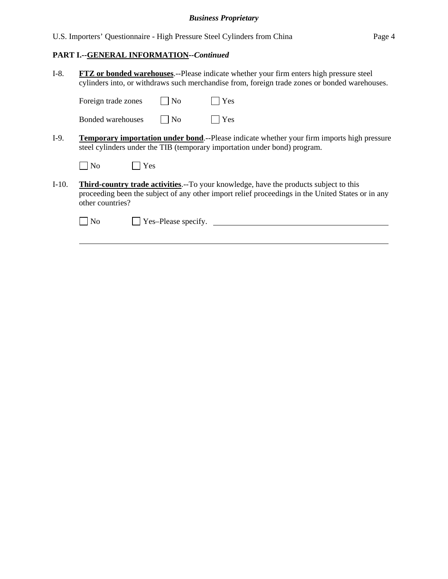U.S. Importers' Questionnaire - High Pressure Steel Cylinders from China Page 4

# **PART I.--GENERAL INFORMATION***--Continued*

l

| $I-8.$  | <b>FTZ</b> or bonded warehouses.--Please indicate whether your firm enters high pressure steel<br>cylinders into, or withdraws such merchandise from, foreign trade zones or bonded warehouses.                        |  |  |  |  |  |  |
|---------|------------------------------------------------------------------------------------------------------------------------------------------------------------------------------------------------------------------------|--|--|--|--|--|--|
|         | Yes<br>N <sub>o</sub><br>Foreign trade zones                                                                                                                                                                           |  |  |  |  |  |  |
|         | Yes<br>N <sub>o</sub><br>Bonded warehouses                                                                                                                                                                             |  |  |  |  |  |  |
| $I-9.$  | <b>Temporary importation under bond.</b> --Please indicate whether your firm imports high pressure<br>steel cylinders under the TIB (temporary importation under bond) program.                                        |  |  |  |  |  |  |
|         | Yes<br>N <sub>o</sub>                                                                                                                                                                                                  |  |  |  |  |  |  |
| $I-10.$ | <b>Third-country trade activities.</b> --To your knowledge, have the products subject to this<br>proceeding been the subject of any other import relief proceedings in the United States or in any<br>other countries? |  |  |  |  |  |  |
|         | Yes-Please specify.<br>No                                                                                                                                                                                              |  |  |  |  |  |  |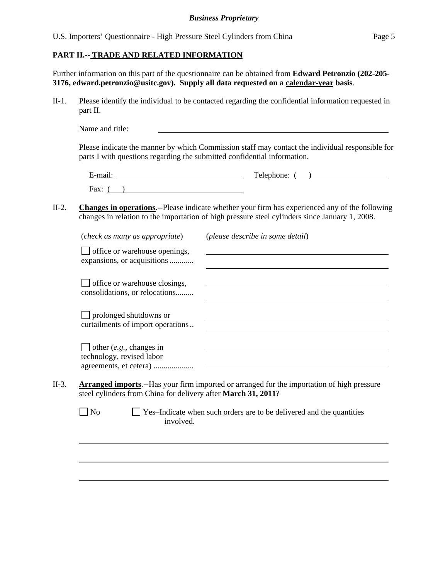U.S. Importers' Questionnaire - High Pressure Steel Cylinders from China Page 5

#### **PART II.-- TRADE AND RELATED INFORMATION**

l

l

l

Further information on this part of the questionnaire can be obtained from **Edward Petronzio (202-205- 3176, edward.petronzio@usitc.gov). Supply all data requested on a calendar-year basis**.

II-1. Please identify the individual to be contacted regarding the confidential information requested in part II.

Name and title:

Please indicate the manner by which Commission staff may contact the individual responsible for parts I with questions regarding the submitted confidential information.

| $\cdot$ $\cdot$<br>±-mail∶ | Telephone: |
|----------------------------|------------|
| Fax:                       |            |

II-2. **Changes in operations.--**Please indicate whether your firm has experienced any of the following changes in relation to the importation of high pressure steel cylinders since January 1, 2008.

|       | (check as many as appropriate)                                        | (please describe in some detail)                                                                   |
|-------|-----------------------------------------------------------------------|----------------------------------------------------------------------------------------------------|
|       | office or warehouse openings,<br>expansions, or acquisitions          |                                                                                                    |
|       | office or warehouse closings,<br>consolidations, or relocations       |                                                                                                    |
|       | $\Box$ prolonged shutdowns or<br>curtailments of import operations    |                                                                                                    |
|       | other $(e.g., changes in$<br>technology, revised labor                |                                                                                                    |
| II-3. | steel cylinders from China for delivery after <b>March 31, 2011</b> ? | <b>Arranged imports.</b> --Has your firm imported or arranged for the importation of high pressure |
|       | No<br>involved.                                                       | Yes-Indicate when such orders are to be delivered and the quantities                               |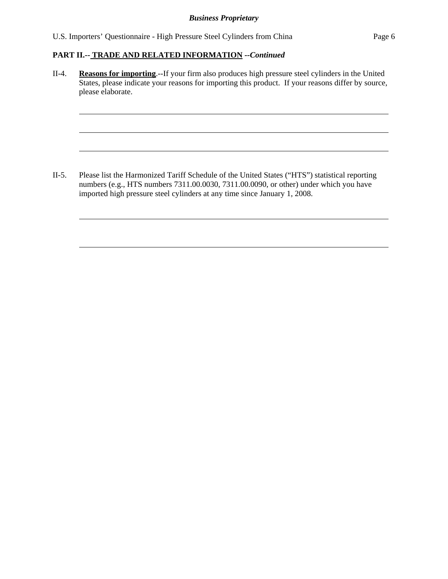U.S. Importers' Questionnaire - High Pressure Steel Cylinders from China Page 6

### **PART II.-- TRADE AND RELATED INFORMATION** *--Continued*

l

l

l

ı

l

II-4. **Reasons for importing**.--If your firm also produces high pressure steel cylinders in the United States, please indicate your reasons for importing this product. If your reasons differ by source, please elaborate.

II-5. Please list the Harmonized Tariff Schedule of the United States ("HTS") statistical reporting numbers (e.g., HTS numbers 7311.00.0030, 7311.00.0090, or other) under which you have imported high pressure steel cylinders at any time since January 1, 2008.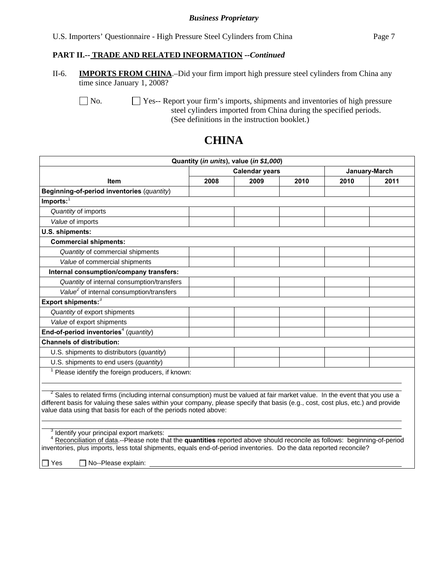|  |  | U.S. Importers' Questionnaire - High Pressure Steel Cylinders from China | Page 7 |
|--|--|--------------------------------------------------------------------------|--------|
|  |  |                                                                          |        |

#### **PART II.-- TRADE AND RELATED INFORMATION** *--Continued*

II-6. **IMPORTS FROM CHINA**.–Did your firm import high pressure steel cylinders from China any time since January 1, 2008?

 $\Box$  No.  $\Box$  Yes-- Report your firm's imports, shipments and inventories of high pressure steel cylinders imported from China during the specified periods. (See definitions in the instruction booklet.)

#### **Quantity (***in units***), value (***in \$1,000***) Item**  Calendar years **January-March 2008 2009 2010 2010 2011 Beginning-of-period inventories** (*quantity*) **Imports:**<sup>1</sup> *Quantity* of imports *Value* of imports **U.S. shipments: Commercial shipments:**  *Quantity* of commercial shipments *Value* of commercial shipments  **Internal consumption/company transfers:**  *Quantity* of internal consumption/transfers *Value2* of internal consumption/transfers **Export shipments:**<sup>3</sup> *Quantity* of export shipments *Value* of export shipments End-of-period inventories<sup>4</sup> (quantity) **Channels of distribution:** U.S. shipments to distributors (*quantity*) U.S. shipments to end users (*quantity*)  $1$  Please identify the foreign producers, if known:  $\overline{a}$  $2$  Sales to related firms (including internal consumption) must be valued at fair market value. In the event that you use a different basis for valuing these sales within your company, please specify that basis (e.g., cost, cost plus, etc.) and provide value data using that basis for each of the periods noted above:  $\overline{a}$

# **CHINA**

<sup>3</sup> Identify your principal export markets:

 <sup>4</sup> Reconciliation of data.--Please note that the **quantities** reported above should reconcile as follows: beginning-of-period inventories, plus imports, less total shipments, equals end-of-period inventories. Do the data reported reconcile?

 $\Box$  Yes  $\Box$  No--Please explain: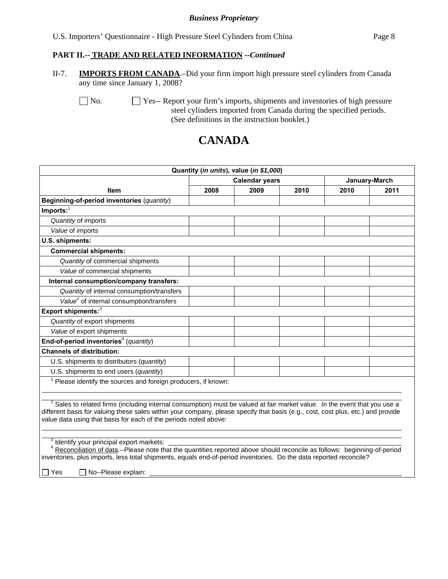|  | U.S. Importers' Questionnaire - High Pressure Steel Cylinders from China | Page 8 |  |
|--|--------------------------------------------------------------------------|--------|--|
|  |                                                                          |        |  |

#### **PART II.-- TRADE AND RELATED INFORMATION** *--Continued*

II-7. **IMPORTS FROM CANADA**.–Did your firm import high pressure steel cylinders from Canada any time since January 1, 2008?

No.  $\Box$  Yes-- Report your firm's imports, shipments and inventories of high pressure steel cylinders imported from Canada during the specified periods. (See definitions in the instruction booklet.)

# **CANADA**

| <b>Item</b><br>Beginning-of-period inventories (quantity)                                                                             | 2008 | <b>Calendar years</b><br>2009 | 2010 |      | January-March |
|---------------------------------------------------------------------------------------------------------------------------------------|------|-------------------------------|------|------|---------------|
|                                                                                                                                       |      |                               |      |      |               |
|                                                                                                                                       |      |                               |      | 2010 | 2011          |
|                                                                                                                                       |      |                               |      |      |               |
| $Imports:$ <sup>1</sup>                                                                                                               |      |                               |      |      |               |
| Quantity of imports                                                                                                                   |      |                               |      |      |               |
| Value of imports                                                                                                                      |      |                               |      |      |               |
| U.S. shipments:                                                                                                                       |      |                               |      |      |               |
| <b>Commercial shipments:</b>                                                                                                          |      |                               |      |      |               |
| Quantity of commercial shipments                                                                                                      |      |                               |      |      |               |
| Value of commercial shipments                                                                                                         |      |                               |      |      |               |
| Internal consumption/company transfers:                                                                                               |      |                               |      |      |               |
| Quantity of internal consumption/transfers                                                                                            |      |                               |      |      |               |
| Value <sup>2</sup> of internal consumption/transfers                                                                                  |      |                               |      |      |               |
| Export shipments: <sup>3</sup>                                                                                                        |      |                               |      |      |               |
| Quantity of export shipments                                                                                                          |      |                               |      |      |               |
| Value of export shipments                                                                                                             |      |                               |      |      |               |
| End-of-period inventories <sup>4</sup> (quantity)                                                                                     |      |                               |      |      |               |
| <b>Channels of distribution:</b>                                                                                                      |      |                               |      |      |               |
| U.S. shipments to distributors (quantity)                                                                                             |      |                               |      |      |               |
| U.S. shipments to end users (quantity)                                                                                                |      |                               |      |      |               |
| Please identify the sources and foreign producers, if known:                                                                          |      |                               |      |      |               |
|                                                                                                                                       |      |                               |      |      |               |
| <sup>2</sup> Sales to related firms (including internal consumption) must be valued at fair market value. In the event that you use a |      |                               |      |      |               |
| different basis for valuing these sales within your company, please specify that basis (e.g., cost, cost plus, etc.) and provide      |      |                               |      |      |               |
| value data using that basis for each of the periods noted above:                                                                      |      |                               |      |      |               |

inventories, plus imports, less total shipments, equals end-of-period inventories. Do the data reported reconcile?

 $\Box$  Yes  $\Box$  No--Please explain: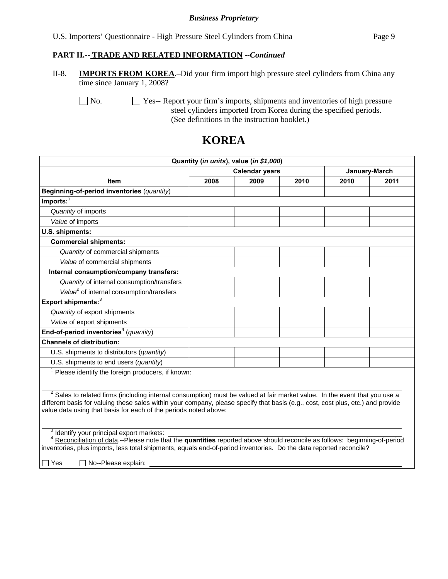#### **PART II.-- TRADE AND RELATED INFORMATION** *--Continued*

II-8. **IMPORTS FROM KOREA**.–Did your firm import high pressure steel cylinders from China any time since January 1, 2008?

No.  $\Box$  Yes-- Report your firm's imports, shipments and inventories of high pressure steel cylinders imported from Korea during the specified periods. (See definitions in the instruction booklet.)

# **KOREA**

| Quantity (in units), value (in \$1,000)                                                                                               |      |                       |      |               |      |  |  |
|---------------------------------------------------------------------------------------------------------------------------------------|------|-----------------------|------|---------------|------|--|--|
|                                                                                                                                       |      | <b>Calendar years</b> |      | January-March |      |  |  |
| Item                                                                                                                                  | 2008 | 2009                  | 2010 | 2010          | 2011 |  |  |
| Beginning-of-period inventories (quantity)                                                                                            |      |                       |      |               |      |  |  |
| $Imports:$ <sup>1</sup>                                                                                                               |      |                       |      |               |      |  |  |
| Quantity of imports                                                                                                                   |      |                       |      |               |      |  |  |
| Value of imports                                                                                                                      |      |                       |      |               |      |  |  |
| U.S. shipments:                                                                                                                       |      |                       |      |               |      |  |  |
| <b>Commercial shipments:</b>                                                                                                          |      |                       |      |               |      |  |  |
| Quantity of commercial shipments                                                                                                      |      |                       |      |               |      |  |  |
| Value of commercial shipments                                                                                                         |      |                       |      |               |      |  |  |
| Internal consumption/company transfers:                                                                                               |      |                       |      |               |      |  |  |
| Quantity of internal consumption/transfers                                                                                            |      |                       |      |               |      |  |  |
| Value <sup>2</sup> of internal consumption/transfers                                                                                  |      |                       |      |               |      |  |  |
| Export shipments: <sup>3</sup>                                                                                                        |      |                       |      |               |      |  |  |
| Quantity of export shipments                                                                                                          |      |                       |      |               |      |  |  |
| Value of export shipments                                                                                                             |      |                       |      |               |      |  |  |
| End-of-period inventories <sup>4</sup> (quantity)                                                                                     |      |                       |      |               |      |  |  |
| <b>Channels of distribution:</b>                                                                                                      |      |                       |      |               |      |  |  |
| U.S. shipments to distributors (quantity)                                                                                             |      |                       |      |               |      |  |  |
| U.S. shipments to end users (quantity)                                                                                                |      |                       |      |               |      |  |  |
| $1$ Please identify the foreign producers, if known:                                                                                  |      |                       |      |               |      |  |  |
|                                                                                                                                       |      |                       |      |               |      |  |  |
| <sup>2</sup> Sales to related firms (including internal consumption) must be valued at fair market value. In the event that you use a |      |                       |      |               |      |  |  |
| different basis for valuing these sales within your company, please specify that basis (e.g., cost, cost plus, etc.) and provide      |      |                       |      |               |      |  |  |
| value data using that basis for each of the periods noted above:                                                                      |      |                       |      |               |      |  |  |
|                                                                                                                                       |      |                       |      |               |      |  |  |
| Identify your principal export markets:                                                                                               |      |                       |      |               |      |  |  |
| <sup>4</sup> Reconciliation of data.--Please note that the quantities reported above should reconcile as follows: beginning-of-period |      |                       |      |               |      |  |  |
| inventories, plus imports, less total shipments, equals end-of-period inventories. Do the data reported reconcile?                    |      |                       |      |               |      |  |  |

 $\Box$  Yes  $\Box$  No--Please explain: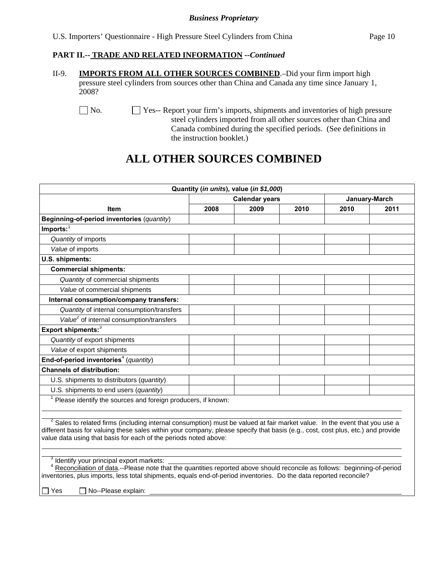| U.S. Importers' Questionnaire - High Pressure Steel Cylinders from China<br>Page 10 |
|-------------------------------------------------------------------------------------|
|-------------------------------------------------------------------------------------|

#### **PART II.-- TRADE AND RELATED INFORMATION** *--Continued*

II-9. **IMPORTS FROM ALL OTHER SOURCES COMBINED**.–Did your firm import high pressure steel cylinders from sources other than China and Canada any time since January 1, 2008?

No. Yes-- Report your firm's imports, shipments and inventories of high pressure steel cylinders imported from all other sources other than China and Canada combined during the specified periods. (See definitions in the instruction booklet.)

# **ALL OTHER SOURCES COMBINED**

|                                                                                                                                                                                                                                                                                                                                               |      | Quantity (in units), value (in \$1,000) |      |               |      |
|-----------------------------------------------------------------------------------------------------------------------------------------------------------------------------------------------------------------------------------------------------------------------------------------------------------------------------------------------|------|-----------------------------------------|------|---------------|------|
|                                                                                                                                                                                                                                                                                                                                               |      | <b>Calendar years</b>                   |      | January-March |      |
| Item                                                                                                                                                                                                                                                                                                                                          | 2008 | 2009                                    | 2010 | 2010          | 2011 |
| Beginning-of-period inventories (quantity)                                                                                                                                                                                                                                                                                                    |      |                                         |      |               |      |
| $Imports:$ <sup>1</sup>                                                                                                                                                                                                                                                                                                                       |      |                                         |      |               |      |
| Quantity of imports                                                                                                                                                                                                                                                                                                                           |      |                                         |      |               |      |
| Value of imports                                                                                                                                                                                                                                                                                                                              |      |                                         |      |               |      |
| U.S. shipments:                                                                                                                                                                                                                                                                                                                               |      |                                         |      |               |      |
| <b>Commercial shipments:</b>                                                                                                                                                                                                                                                                                                                  |      |                                         |      |               |      |
| Quantity of commercial shipments                                                                                                                                                                                                                                                                                                              |      |                                         |      |               |      |
| Value of commercial shipments                                                                                                                                                                                                                                                                                                                 |      |                                         |      |               |      |
| Internal consumption/company transfers:                                                                                                                                                                                                                                                                                                       |      |                                         |      |               |      |
| Quantity of internal consumption/transfers                                                                                                                                                                                                                                                                                                    |      |                                         |      |               |      |
| Value <sup>2</sup> of internal consumption/transfers                                                                                                                                                                                                                                                                                          |      |                                         |      |               |      |
| Export shipments: $3$                                                                                                                                                                                                                                                                                                                         |      |                                         |      |               |      |
| Quantity of export shipments                                                                                                                                                                                                                                                                                                                  |      |                                         |      |               |      |
| Value of export shipments                                                                                                                                                                                                                                                                                                                     |      |                                         |      |               |      |
| End-of-period inventories <sup>4</sup> (quantity)                                                                                                                                                                                                                                                                                             |      |                                         |      |               |      |
| <b>Channels of distribution:</b>                                                                                                                                                                                                                                                                                                              |      |                                         |      |               |      |
| U.S. shipments to distributors (quantity)                                                                                                                                                                                                                                                                                                     |      |                                         |      |               |      |
| U.S. shipments to end users (quantity)                                                                                                                                                                                                                                                                                                        |      |                                         |      |               |      |
| Please identify the sources and foreign producers, if known:                                                                                                                                                                                                                                                                                  |      |                                         |      |               |      |
|                                                                                                                                                                                                                                                                                                                                               |      |                                         |      |               |      |
| <sup>2</sup> Sales to related firms (including internal consumption) must be valued at fair market value. In the event that you use a<br>different basis for valuing these sales within your company, please specify that basis (e.g., cost, cost plus, etc.) and provide<br>value data using that basis for each of the periods noted above: |      |                                         |      |               |      |
| <sup>3</sup> Identify your principal export markets:<br>Reconciliation of data.--Please note that the quantities reported above should reconcile as follows: beginning-of-period<br>inventories, plus imports, less total shipments, equals end-of-period inventories. Do the data reported reconcile?<br>No--Please explain:<br>Yes          |      |                                         |      |               |      |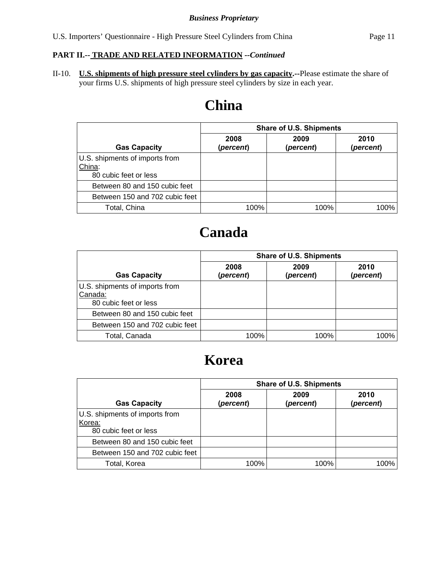# **PART II.-- TRADE AND RELATED INFORMATION** *--Continued*

II-10. **U.S. shipments of high pressure steel cylinders by gas capacity.--**Please estimate the share of your firms U.S. shipments of high pressure steel cylinders by size in each year.

# **China**

|                                                                   | <b>Share of U.S. Shipments</b> |                   |                   |  |  |
|-------------------------------------------------------------------|--------------------------------|-------------------|-------------------|--|--|
| <b>Gas Capacity</b>                                               | 2008<br>(percent)              | 2009<br>(percent) | 2010<br>(percent) |  |  |
| U.S. shipments of imports from<br>China:<br>80 cubic feet or less |                                |                   |                   |  |  |
| Between 80 and 150 cubic feet                                     |                                |                   |                   |  |  |
| Between 150 and 702 cubic feet                                    |                                |                   |                   |  |  |
| Total, China                                                      | 100%                           | 100%              | 100%              |  |  |

# **Canada**

|                                                                    | <b>Share of U.S. Shipments</b> |                   |                   |  |  |  |
|--------------------------------------------------------------------|--------------------------------|-------------------|-------------------|--|--|--|
| <b>Gas Capacity</b>                                                | 2008<br>(percent)              | 2009<br>(percent) | 2010<br>(percent) |  |  |  |
| U.S. shipments of imports from<br>Canada:<br>80 cubic feet or less |                                |                   |                   |  |  |  |
| Between 80 and 150 cubic feet                                      |                                |                   |                   |  |  |  |
| Between 150 and 702 cubic feet                                     |                                |                   |                   |  |  |  |
| Total, Canada                                                      | 100%                           | 100%              | 100%              |  |  |  |

# **Korea**

|                                                                   | <b>Share of U.S. Shipments</b> |                   |                   |  |  |  |
|-------------------------------------------------------------------|--------------------------------|-------------------|-------------------|--|--|--|
| <b>Gas Capacity</b>                                               | 2008<br>(percent)              | 2009<br>(percent) | 2010<br>(percent) |  |  |  |
| U.S. shipments of imports from<br>Korea:<br>80 cubic feet or less |                                |                   |                   |  |  |  |
| Between 80 and 150 cubic feet                                     |                                |                   |                   |  |  |  |
| Between 150 and 702 cubic feet                                    |                                |                   |                   |  |  |  |
| Total, Korea                                                      | 100%                           | 100%              | 100%              |  |  |  |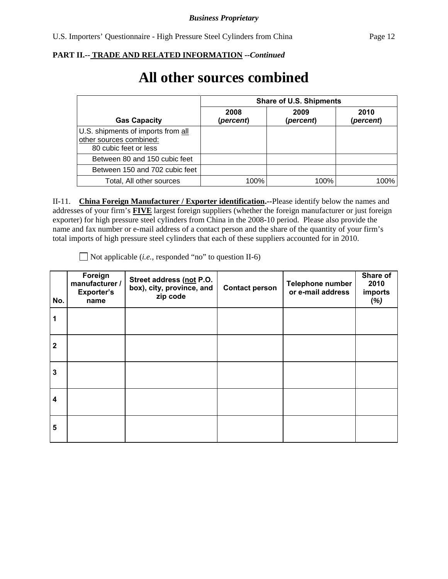**All other sources combined** 

# **PART II.-- TRADE AND RELATED INFORMATION** *--Continued*

#### **Gas Capacity Share of U.S. Shipments 2008 (***percent***) 2009 (***percent***) 2010 (***percent***)**  U.S. shipments of imports from all other sources combined: 80 cubic feet or less Between 80 and 150 cubic feet en 150 and 702 cubic feet Total, All other sources  $\sim$  100% 100% 100% 100% 100%

II-11. **China Foreign Manufacturer / Exporter identification.--**Please identify below the names and addresses of your firm's **FIVE** largest foreign suppliers (whether the foreign manufacturer or just foreign exporter) for high pressure steel cylinders from China in the 2008-10 period. Please also provide the name and fax number or e-mail address of a contact person and the share of the quantity of your firm's total imports of high pressure steel cylinders that each of these suppliers accounted for in 2010.

**No. Foreign manufacturer / Exporter's name Street address (not P.O. box), city, province, and zip code Contact person Telephone number or e-mail address Share of 2010 imports (***%)* **1 2 3 4 5**

Not applicable (*i.e.*, responded "no" to question II-6)

|                                                                                       | <b>Share of U.S. Shipments</b> |                   |                   |  |  |  |
|---------------------------------------------------------------------------------------|--------------------------------|-------------------|-------------------|--|--|--|
| <b>Gas Capacity</b>                                                                   | 2008<br>(percent)              | 2009<br>(percent) | 2010<br>(percent) |  |  |  |
| J.S. shipments of imports from all<br>ther sources combined:<br>80 cubic feet or less |                                |                   |                   |  |  |  |
| Between 80 and 150 cubic feet                                                         |                                |                   |                   |  |  |  |
| Between 150 and 702 cubic feet                                                        |                                |                   |                   |  |  |  |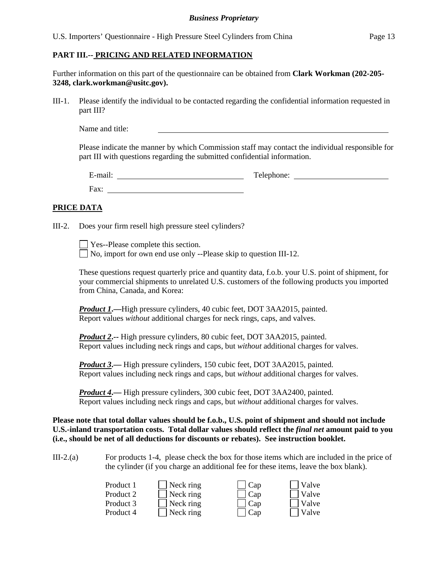U.S. Importers' Questionnaire - High Pressure Steel Cylinders from China Page 13

#### **PART III.-- PRICING AND RELATED INFORMATION**

Further information on this part of the questionnaire can be obtained from **Clark Workman (202-205- 3248, clark.workman@usitc.gov).**

III-1. Please identify the individual to be contacted regarding the confidential information requested in part III?

Name and title:

Please indicate the manner by which Commission staff may contact the individual responsible for part III with questions regarding the submitted confidential information.

| $\cdot$ $\cdot$ $\cdot$<br>$\sim$<br>∹-mail∶ | Teler.<br>Telephone: |
|----------------------------------------------|----------------------|
| Fax:                                         |                      |

#### **PRICE DATA**

III-2. Does your firm resell high pressure steel cylinders?

Yes--Please complete this section. No, import for own end use only --Please skip to question III-12.

These questions request quarterly price and quantity data, f.o.b. your U.S. point of shipment, for your commercial shipments to unrelated U.S. customers of the following products you imported from China, Canada, and Korea:

*Product 1***.—**High pressure cylinders, 40 cubic feet, DOT 3AA2015, painted. Report values *without* additional charges for neck rings, caps, and valves.

*Product 2***.--** High pressure cylinders, 80 cubic feet, DOT 3AA2015, painted. Report values including neck rings and caps, but *without* additional charges for valves.

*Product 3*.— High pressure cylinders, 150 cubic feet, DOT 3AA2015, painted. Report values including neck rings and caps, but *without* additional charges for valves.

*Product 4***.—** High pressure cylinders, 300 cubic feet, DOT 3AA2400, painted. Report values including neck rings and caps, but *without* additional charges for valves.

**Please note that total dollar values should be f.o.b., U.S. point of shipment and should not include U.S.-inland transportation costs. Total dollar values should reflect the** *final net* **amount paid to you (i.e., should be net of all deductions for discounts or rebates). See instruction booklet.**

III-2.(a) For products 1-4, please check the box for those items which are included in the price of the cylinder (if you charge an additional fee for these items, leave the box blank).

| Product 1 | $\blacksquare$ Neck ring | $\Box$ Cap | $\Box$ Valve |
|-----------|--------------------------|------------|--------------|
| Product 2 | $\Box$ Neck ring         | $\Box$ Cap | $\Box$ Valve |
| Product 3 | $\blacksquare$ Neck ring | $\Box$ Cap | $\Box$ Valve |
| Product 4 | $\blacksquare$ Neck ring | $\Box$ Cap | $\Box$ Valve |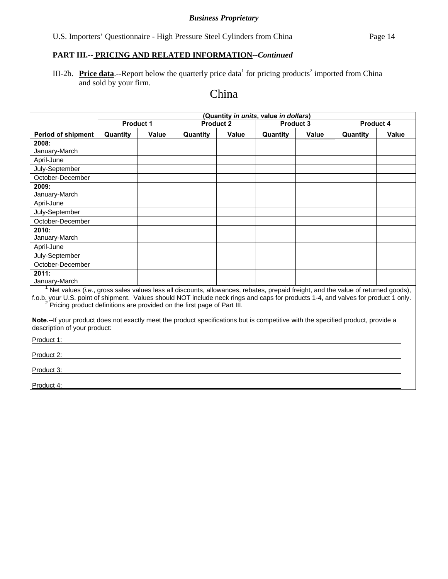# **PART III.-- PRICING AND RELATED INFORMATION***--Continued*

III-2b. **Price data**.--Report below the quarterly price data<sup>1</sup> for pricing products<sup>2</sup> imported from China and sold by your firm.

# China

|                                                                                                                                                                                                                                                                                                                                                                             | (Quantity in units, value in dollars) |       |                  |              |           |       |                  |              |  |
|-----------------------------------------------------------------------------------------------------------------------------------------------------------------------------------------------------------------------------------------------------------------------------------------------------------------------------------------------------------------------------|---------------------------------------|-------|------------------|--------------|-----------|-------|------------------|--------------|--|
|                                                                                                                                                                                                                                                                                                                                                                             | <b>Product 1</b>                      |       | <b>Product 2</b> |              | Product 3 |       | <b>Product 4</b> |              |  |
| <b>Period of shipment</b>                                                                                                                                                                                                                                                                                                                                                   | Quantity                              | Value | Quantity         | <b>Value</b> | Quantity  | Value | Quantity         | <b>Value</b> |  |
| 2008:                                                                                                                                                                                                                                                                                                                                                                       |                                       |       |                  |              |           |       |                  |              |  |
| January-March                                                                                                                                                                                                                                                                                                                                                               |                                       |       |                  |              |           |       |                  |              |  |
| April-June                                                                                                                                                                                                                                                                                                                                                                  |                                       |       |                  |              |           |       |                  |              |  |
| July-September                                                                                                                                                                                                                                                                                                                                                              |                                       |       |                  |              |           |       |                  |              |  |
| October-December                                                                                                                                                                                                                                                                                                                                                            |                                       |       |                  |              |           |       |                  |              |  |
| 2009:<br>January-March                                                                                                                                                                                                                                                                                                                                                      |                                       |       |                  |              |           |       |                  |              |  |
| April-June                                                                                                                                                                                                                                                                                                                                                                  |                                       |       |                  |              |           |       |                  |              |  |
| July-September                                                                                                                                                                                                                                                                                                                                                              |                                       |       |                  |              |           |       |                  |              |  |
| October-December                                                                                                                                                                                                                                                                                                                                                            |                                       |       |                  |              |           |       |                  |              |  |
| 2010:                                                                                                                                                                                                                                                                                                                                                                       |                                       |       |                  |              |           |       |                  |              |  |
| January-March                                                                                                                                                                                                                                                                                                                                                               |                                       |       |                  |              |           |       |                  |              |  |
| April-June                                                                                                                                                                                                                                                                                                                                                                  |                                       |       |                  |              |           |       |                  |              |  |
| July-September                                                                                                                                                                                                                                                                                                                                                              |                                       |       |                  |              |           |       |                  |              |  |
| October-December                                                                                                                                                                                                                                                                                                                                                            |                                       |       |                  |              |           |       |                  |              |  |
| 2011:                                                                                                                                                                                                                                                                                                                                                                       |                                       |       |                  |              |           |       |                  |              |  |
| January-March                                                                                                                                                                                                                                                                                                                                                               |                                       |       |                  |              |           |       |                  |              |  |
| $1$ Net values ( <i>i.e.</i> , gross sales values less all discounts, allowances, rebates, prepaid freight, and the value of returned goods),<br>f.o.b. your U.S. point of shipment. Values should NOT include neck rings and caps for products 1-4, and valves for product 1 only.<br><sup>2</sup> Pricing product definitions are provided on the first page of Part III. |                                       |       |                  |              |           |       |                  |              |  |
| Note.--If your product does not exactly meet the product specifications but is competitive with the specified product, provide a<br>description of your product:                                                                                                                                                                                                            |                                       |       |                  |              |           |       |                  |              |  |
| Product 1:                                                                                                                                                                                                                                                                                                                                                                  |                                       |       |                  |              |           |       |                  |              |  |
| Product 2:                                                                                                                                                                                                                                                                                                                                                                  |                                       |       |                  |              |           |       |                  |              |  |
| Product 3:                                                                                                                                                                                                                                                                                                                                                                  |                                       |       |                  |              |           |       |                  |              |  |
| Product 4:                                                                                                                                                                                                                                                                                                                                                                  |                                       |       |                  |              |           |       |                  |              |  |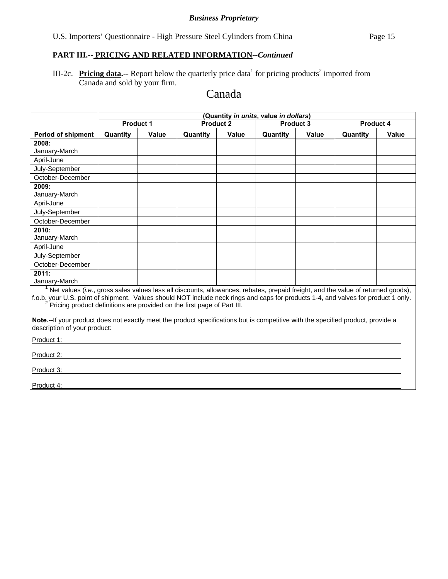# **PART III.-- PRICING AND RELATED INFORMATION***--Continued*

III-2c. Pricing data.-- Report below the quarterly price data<sup>1</sup> for pricing products<sup>2</sup> imported from Canada and sold by your firm.

# Canada

|                                                                                                                                                                                                                                                                                                                                                                    | (Quantity in units, value in dollars) |              |                  |              |          |           |                  |              |  |
|--------------------------------------------------------------------------------------------------------------------------------------------------------------------------------------------------------------------------------------------------------------------------------------------------------------------------------------------------------------------|---------------------------------------|--------------|------------------|--------------|----------|-----------|------------------|--------------|--|
|                                                                                                                                                                                                                                                                                                                                                                    | Product 1                             |              | <b>Product 2</b> |              |          | Product 3 | <b>Product 4</b> |              |  |
| <b>Period of shipment</b>                                                                                                                                                                                                                                                                                                                                          | Quantity                              | <b>Value</b> | Quantity         | <b>Value</b> | Quantity | Value     | Quantity         | <b>Value</b> |  |
| 2008:                                                                                                                                                                                                                                                                                                                                                              |                                       |              |                  |              |          |           |                  |              |  |
| January-March                                                                                                                                                                                                                                                                                                                                                      |                                       |              |                  |              |          |           |                  |              |  |
| April-June                                                                                                                                                                                                                                                                                                                                                         |                                       |              |                  |              |          |           |                  |              |  |
| July-September                                                                                                                                                                                                                                                                                                                                                     |                                       |              |                  |              |          |           |                  |              |  |
| October-December                                                                                                                                                                                                                                                                                                                                                   |                                       |              |                  |              |          |           |                  |              |  |
| 2009:<br>January-March                                                                                                                                                                                                                                                                                                                                             |                                       |              |                  |              |          |           |                  |              |  |
| April-June                                                                                                                                                                                                                                                                                                                                                         |                                       |              |                  |              |          |           |                  |              |  |
| July-September                                                                                                                                                                                                                                                                                                                                                     |                                       |              |                  |              |          |           |                  |              |  |
| October-December                                                                                                                                                                                                                                                                                                                                                   |                                       |              |                  |              |          |           |                  |              |  |
| 2010:                                                                                                                                                                                                                                                                                                                                                              |                                       |              |                  |              |          |           |                  |              |  |
| January-March                                                                                                                                                                                                                                                                                                                                                      |                                       |              |                  |              |          |           |                  |              |  |
| April-June                                                                                                                                                                                                                                                                                                                                                         |                                       |              |                  |              |          |           |                  |              |  |
| July-September                                                                                                                                                                                                                                                                                                                                                     |                                       |              |                  |              |          |           |                  |              |  |
| October-December                                                                                                                                                                                                                                                                                                                                                   |                                       |              |                  |              |          |           |                  |              |  |
| 2011:<br>January-March                                                                                                                                                                                                                                                                                                                                             |                                       |              |                  |              |          |           |                  |              |  |
| $1$ Net values (i.e., gross sales values less all discounts, allowances, rebates, prepaid freight, and the value of returned goods),<br>f.o.b. your U.S. point of shipment. Values should NOT include neck rings and caps for products 1-4, and valves for product 1 only.<br><sup>2</sup> Pricing product definitions are provided on the first page of Part III. |                                       |              |                  |              |          |           |                  |              |  |
| Note.--If your product does not exactly meet the product specifications but is competitive with the specified product, provide a<br>description of your product:                                                                                                                                                                                                   |                                       |              |                  |              |          |           |                  |              |  |
| Product 1:                                                                                                                                                                                                                                                                                                                                                         |                                       |              |                  |              |          |           |                  |              |  |
| Product 2:                                                                                                                                                                                                                                                                                                                                                         |                                       |              |                  |              |          |           |                  |              |  |
| Product 3:                                                                                                                                                                                                                                                                                                                                                         |                                       |              |                  |              |          |           |                  |              |  |
| Product 4:                                                                                                                                                                                                                                                                                                                                                         |                                       |              |                  |              |          |           |                  |              |  |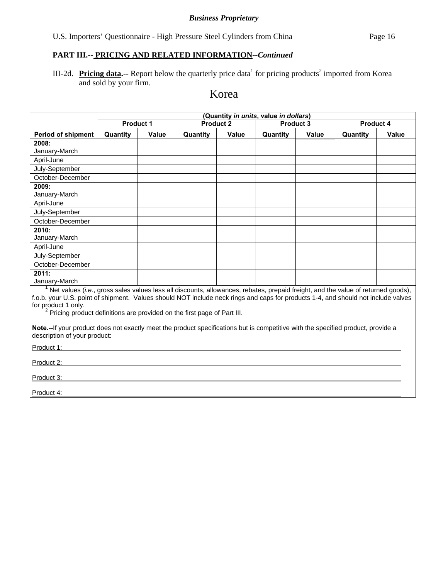# **PART III.-- PRICING AND RELATED INFORMATION***--Continued*

III-2d. Pricing data.-- Report below the quarterly price data<sup>1</sup> for pricing products<sup>2</sup> imported from Korea and sold by your firm.

# Korea

|                                                                                                                                                                                                                                                                                                                                                                                 | (Quantity in units, value in dollars) |                                                   |          |       |           |       |          |       |
|---------------------------------------------------------------------------------------------------------------------------------------------------------------------------------------------------------------------------------------------------------------------------------------------------------------------------------------------------------------------------------|---------------------------------------|---------------------------------------------------|----------|-------|-----------|-------|----------|-------|
|                                                                                                                                                                                                                                                                                                                                                                                 |                                       | <b>Product 2</b><br>Product 3<br><b>Product 1</b> |          |       | Product 4 |       |          |       |
| <b>Period of shipment</b>                                                                                                                                                                                                                                                                                                                                                       | Quantity                              | <b>Value</b>                                      | Quantity | Value | Quantity  | Value | Quantity | Value |
| 2008:                                                                                                                                                                                                                                                                                                                                                                           |                                       |                                                   |          |       |           |       |          |       |
| January-March                                                                                                                                                                                                                                                                                                                                                                   |                                       |                                                   |          |       |           |       |          |       |
| April-June                                                                                                                                                                                                                                                                                                                                                                      |                                       |                                                   |          |       |           |       |          |       |
| July-September                                                                                                                                                                                                                                                                                                                                                                  |                                       |                                                   |          |       |           |       |          |       |
| October-December                                                                                                                                                                                                                                                                                                                                                                |                                       |                                                   |          |       |           |       |          |       |
| 2009:                                                                                                                                                                                                                                                                                                                                                                           |                                       |                                                   |          |       |           |       |          |       |
| January-March                                                                                                                                                                                                                                                                                                                                                                   |                                       |                                                   |          |       |           |       |          |       |
| April-June                                                                                                                                                                                                                                                                                                                                                                      |                                       |                                                   |          |       |           |       |          |       |
| July-September                                                                                                                                                                                                                                                                                                                                                                  |                                       |                                                   |          |       |           |       |          |       |
| October-December                                                                                                                                                                                                                                                                                                                                                                |                                       |                                                   |          |       |           |       |          |       |
| 2010:                                                                                                                                                                                                                                                                                                                                                                           |                                       |                                                   |          |       |           |       |          |       |
| January-March                                                                                                                                                                                                                                                                                                                                                                   |                                       |                                                   |          |       |           |       |          |       |
| April-June                                                                                                                                                                                                                                                                                                                                                                      |                                       |                                                   |          |       |           |       |          |       |
| July-September                                                                                                                                                                                                                                                                                                                                                                  |                                       |                                                   |          |       |           |       |          |       |
| October-December                                                                                                                                                                                                                                                                                                                                                                |                                       |                                                   |          |       |           |       |          |       |
| 2011:                                                                                                                                                                                                                                                                                                                                                                           |                                       |                                                   |          |       |           |       |          |       |
| January-March                                                                                                                                                                                                                                                                                                                                                                   |                                       |                                                   |          |       |           |       |          |       |
| $1$ Net values (i.e., gross sales values less all discounts, allowances, rebates, prepaid freight, and the value of returned goods),<br>f.o.b. your U.S. point of shipment. Values should NOT include neck rings and caps for products 1-4, and should not include valves<br>for product 1 only.<br>$2$ Pricing product definitions are provided on the first page of Part III. |                                       |                                                   |          |       |           |       |          |       |
| Note.--If your product does not exactly meet the product specifications but is competitive with the specified product, provide a<br>description of your product:                                                                                                                                                                                                                |                                       |                                                   |          |       |           |       |          |       |
| Product 1:                                                                                                                                                                                                                                                                                                                                                                      |                                       |                                                   |          |       |           |       |          |       |
| Product 2:                                                                                                                                                                                                                                                                                                                                                                      |                                       |                                                   |          |       |           |       |          |       |
| Product 3:                                                                                                                                                                                                                                                                                                                                                                      |                                       |                                                   |          |       |           |       |          |       |
| Product 4:                                                                                                                                                                                                                                                                                                                                                                      |                                       |                                                   |          |       |           |       |          |       |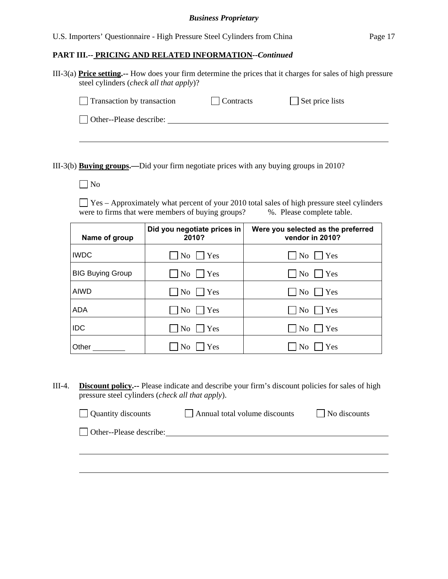| U.S. Importers' Questionnaire - High Pressure Steel Cylinders from China |  |  |  | Page 17 |
|--------------------------------------------------------------------------|--|--|--|---------|
|                                                                          |  |  |  |         |

#### **PART III.-- PRICING AND RELATED INFORMATION***--Continued*

| III-3(a) <b>Price setting.</b> -- How does your firm determine the prices that it charges for sales of high pressure |  |
|----------------------------------------------------------------------------------------------------------------------|--|
| steel cylinders <i>(check all that apply)</i> ?                                                                      |  |

| Transaction by transaction | Contracts | $\Box$ Set price lists |  |
|----------------------------|-----------|------------------------|--|
| Other--Please describe:    |           |                        |  |
|                            |           |                        |  |
|                            |           |                        |  |

III-3(b) **Buying groups.—**Did your firm negotiate prices with any buying groups in 2010?

No

 Yes – Approximately what percent of your 2010 total sales of high pressure steel cylinders were to firms that were members of buying groups? %. Please complete table.

| Name of group           | Did you negotiate prices in<br>2010? | Were you selected as the preferred<br>vendor in 2010? |
|-------------------------|--------------------------------------|-------------------------------------------------------|
| <b>IWDC</b>             | $\overline{N_0}$   $\overline{Y}$ es | N <sub>o</sub><br>  Yes                               |
| <b>BIG Buying Group</b> | $\overline{N_0}$   $\overline{Y}$ es | No<br>Yes                                             |
| <b>AIWD</b>             | $\mathrm{No}$     Yes                | Yes<br>No.                                            |
| <b>ADA</b>              | $\overline{N_0}$ $\overline{Y}$ Yes  | Yes<br>No                                             |
| <b>IDC</b>              | No<br> Yes                           | N <sub>o</sub><br>Yes                                 |
| Other                   | Yes<br>No                            | Yes<br>N <sub>0</sub>                                 |

III-4. **Discount policy.--** Please indicate and describe your firm's discount policies for sales of high pressure steel cylinders (*check all that apply*).

| $\Box$ Quantity discounts      | Annual total volume discounts | $\Box$ No discounts |
|--------------------------------|-------------------------------|---------------------|
| $\Box$ Other--Please describe: |                               |                     |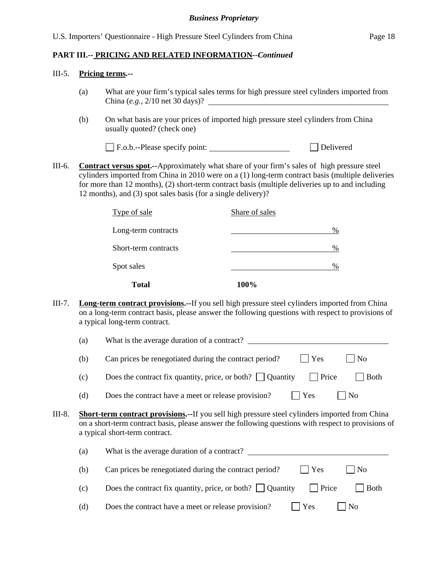#### III-5. **Pricing terms.--**

- (a) What are your firm's typical sales terms for high pressure steel cylinders imported from China (*e.g.*, 2/10 net 30 days)?
- (b) On what basis are your prices of imported high pressure steel cylinders from China usually quoted? (check one)

F.o.b.--Please specify point: Delivered

III-6. **Contract versus spot.--**Approximately what share of your firm's sales of high pressure steel cylinders imported from China in 2010 were on a (1) long-term contract basis (multiple deliveries for more than 12 months), (2) short-term contract basis (multiple deliveries up to and including 12 months), and (3) spot sales basis (for a single delivery)?

| <b>Total</b>         | 100%           |
|----------------------|----------------|
| Spot sales           | %              |
| Short-term contracts | %              |
| Long-term contracts  | %              |
| Type of sale         | Share of sales |

III-7. **Long-term contract provisions.--**If you sell high pressure steel cylinders imported from China on a long-term contract basis, please answer the following questions with respect to provisions of a typical long-term contract.

| (a) | What is the average duration of a contract?            |               |                        |
|-----|--------------------------------------------------------|---------------|------------------------|
| (b) | Can prices be renegotiated during the contract period? | $\vert$   Yes | $\perp$ $\overline{N}$ |
|     |                                                        |               |                        |

(c) Does the contract fix quantity, price, or both?  $\Box$  Quantity  $\Box$  Price  $\Box$  Both

(d) Does the contract have a meet or release provision?  $\Box$  Yes  $\Box$  No

III-8. **Short-term contract provisions.--**If you sell high pressure steel cylinders imported from China on a short-term contract basis, please answer the following questions with respect to provisions of a typical short-term contract.

| (a) | What is the average duration of a contract?                                            |
|-----|----------------------------------------------------------------------------------------|
| (b) | $ $ $ $ Yes<br>$\Box$ No<br>Can prices be renegotiated during the contract period?     |
| (c) | Does the contract fix quantity, price, or both? $\Box$ Quantity<br>  Price<br>$ $ Both |
| (d) | Does the contract have a meet or release provision?<br>$\vert$   Yes<br>l No           |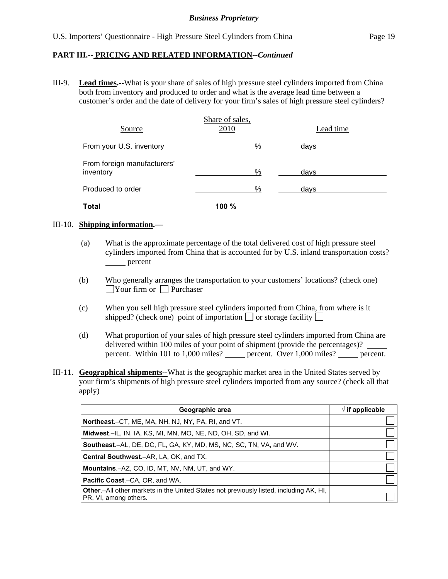III-9. **Lead times.--**What is your share of sales of high pressure steel cylinders imported from China both from inventory and produced to order and what is the average lead time between a customer's order and the date of delivery for your firm's sales of high pressure steel cylinders?

| Source                                   | Share of sales,<br>2010 | Lead time |
|------------------------------------------|-------------------------|-----------|
| From your U.S. inventory                 | %                       | days      |
| From foreign manufacturers'<br>inventory | %                       | days      |
| Produced to order                        | %                       | days      |
| Total                                    | 100%                    |           |

#### III-10. **Shipping information.—**

- (a) What is the approximate percentage of the total delivered cost of high pressure steel cylinders imported from China that is accounted for by U.S. inland transportation costs? <u>s</u> percent
- (b) Who generally arranges the transportation to your customers' locations? (check one)  $\Box$ Your firm or  $\Box$  Purchaser
- (c) When you sell high pressure steel cylinders imported from China, from where is it shipped? (check one) point of importation  $\Box$  or storage facility  $\Box$
- (d) What proportion of your sales of high pressure steel cylinders imported from China are delivered within 100 miles of your point of shipment (provide the percentages)? percent. Within 101 to 1,000 miles? percent. Over 1,000 miles? percent.
- III-11. **Geographical shipments--**What is the geographic market area in the United States served by your firm's shipments of high pressure steel cylinders imported from any source? (check all that apply)

| Geographic area                                                                                                         | $\sqrt{ }$ if applicable |
|-------------------------------------------------------------------------------------------------------------------------|--------------------------|
| <b>Northeast.</b> –CT, ME, MA, NH, NJ, NY, PA, RI, and VT.                                                              |                          |
| <b>Midwest.</b> –IL, IN, IA, KS, MI, MN, MO, NE, ND, OH, SD, and WI.                                                    |                          |
| <b>Southeast.–AL, DE, DC, FL, GA, KY, MD, MS, NC, SC, TN, VA, and WV.</b>                                               |                          |
| <b>Central Southwest.–AR, LA, OK, and TX.</b>                                                                           |                          |
| Mountains.-AZ, CO, ID, MT, NV, NM, UT, and WY.                                                                          |                          |
| <b>Pacific Coast.–CA, OR, and WA.</b>                                                                                   |                          |
| <b>Other.</b> —All other markets in the United States not previously listed, including AK, HI,<br>PR, VI, among others. |                          |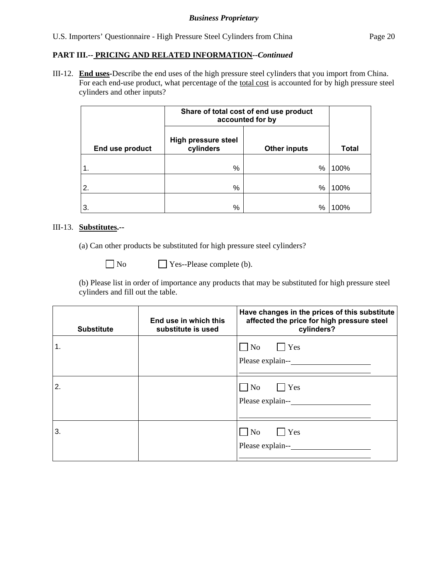#### **PART III.-- PRICING AND RELATED INFORMATION***--Continued*

III-12. **End uses-**Describe the end uses of the high pressure steel cylinders that you import from China. For each end-use product, what percentage of the total cost is accounted for by high pressure steel cylinders and other inputs?

|                 | Share of total cost of end use product<br>accounted for by |                     |              |
|-----------------|------------------------------------------------------------|---------------------|--------------|
| End use product | <b>High pressure steel</b><br>cylinders                    | <b>Other inputs</b> | <b>Total</b> |
| 1.              | %                                                          | %                   | 100%         |
| 2.              | %                                                          | %                   | 100%         |
| 3.              | %                                                          | %                   | 100%         |

#### III-13. **Substitutes.--**

(a) Can other products be substituted for high pressure steel cylinders?

No **Pres**--Please complete (b).

(b) Please list in order of importance any products that may be substituted for high pressure steel cylinders and fill out the table.

| <b>Substitute</b> | End use in which this<br>substitute is used | Have changes in the prices of this substitute<br>affected the price for high pressure steel<br>cylinders? |
|-------------------|---------------------------------------------|-----------------------------------------------------------------------------------------------------------|
| 1.                |                                             | $\Box$ Yes<br>No<br>Please explain--                                                                      |
| 2.                |                                             | $\Box$ Yes<br>$\overline{\rm No}$<br>Please explain--                                                     |
| 3.                |                                             | $\Box$ Yes<br>N <sub>o</sub><br>Please explain--                                                          |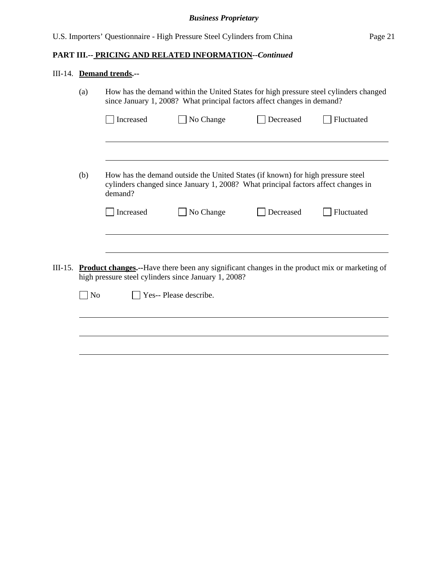# **PART III.-- PRICING AND RELATED INFORMATION***--Continued*

# III-14. **Demand trends.--**

|         | (a)            | How has the demand within the United States for high pressure steel cylinders changed<br>since January 1, 2008? What principal factors affect changes in demand? |                                                                                                                                                                      |           |            |
|---------|----------------|------------------------------------------------------------------------------------------------------------------------------------------------------------------|----------------------------------------------------------------------------------------------------------------------------------------------------------------------|-----------|------------|
|         |                | Increased                                                                                                                                                        | No Change                                                                                                                                                            | Decreased | Fluctuated |
|         |                |                                                                                                                                                                  |                                                                                                                                                                      |           |            |
|         | (b)            | demand?                                                                                                                                                          | How has the demand outside the United States (if known) for high pressure steel<br>cylinders changed since January 1, 2008? What principal factors affect changes in |           |            |
|         |                | Increased                                                                                                                                                        | No Change                                                                                                                                                            | Decreased | Fluctuated |
|         |                |                                                                                                                                                                  |                                                                                                                                                                      |           |            |
| III-15. |                |                                                                                                                                                                  | <b>Product changes.</b> --Have there been any significant changes in the product mix or marketing of<br>high pressure steel cylinders since January 1, 2008?         |           |            |
|         | N <sub>o</sub> |                                                                                                                                                                  | Yes-- Please describe.                                                                                                                                               |           |            |
|         |                |                                                                                                                                                                  |                                                                                                                                                                      |           |            |
|         |                |                                                                                                                                                                  |                                                                                                                                                                      |           |            |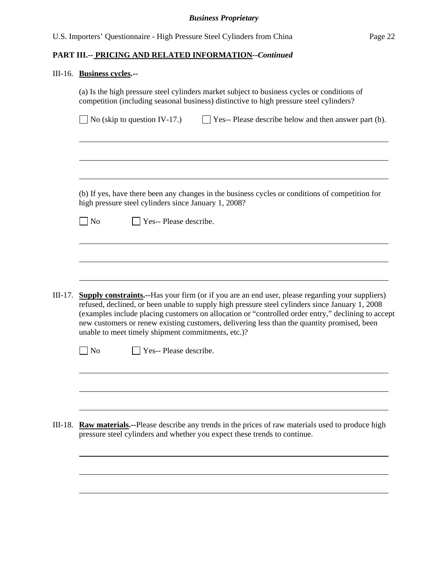# III-16. **Business cycles.--**

|         | competition (including seasonal business) distinctive to high pressure steel cylinders?                                                                                                                                                                                                                                                                                                                                                                               |  |  |  |  |
|---------|-----------------------------------------------------------------------------------------------------------------------------------------------------------------------------------------------------------------------------------------------------------------------------------------------------------------------------------------------------------------------------------------------------------------------------------------------------------------------|--|--|--|--|
|         | $\Box$ No (skip to question IV-17.)<br>$\Box$ Yes-- Please describe below and then answer part (b).                                                                                                                                                                                                                                                                                                                                                                   |  |  |  |  |
|         |                                                                                                                                                                                                                                                                                                                                                                                                                                                                       |  |  |  |  |
|         |                                                                                                                                                                                                                                                                                                                                                                                                                                                                       |  |  |  |  |
|         | (b) If yes, have there been any changes in the business cycles or conditions of competition for<br>high pressure steel cylinders since January 1, 2008?                                                                                                                                                                                                                                                                                                               |  |  |  |  |
|         | Yes-- Please describe.<br>$\log$                                                                                                                                                                                                                                                                                                                                                                                                                                      |  |  |  |  |
|         |                                                                                                                                                                                                                                                                                                                                                                                                                                                                       |  |  |  |  |
|         |                                                                                                                                                                                                                                                                                                                                                                                                                                                                       |  |  |  |  |
|         |                                                                                                                                                                                                                                                                                                                                                                                                                                                                       |  |  |  |  |
| III-17. | <b>Supply constraints.</b> --Has your firm (or if you are an end user, please regarding your suppliers)<br>refused, declined, or been unable to supply high pressure steel cylinders since January 1, 2008<br>(examples include placing customers on allocation or "controlled order entry," declining to accept<br>new customers or renew existing customers, delivering less than the quantity promised, been<br>unable to meet timely shipment commitments, etc.)? |  |  |  |  |
|         | $\log$<br>Yes-- Please describe.                                                                                                                                                                                                                                                                                                                                                                                                                                      |  |  |  |  |
|         |                                                                                                                                                                                                                                                                                                                                                                                                                                                                       |  |  |  |  |
|         |                                                                                                                                                                                                                                                                                                                                                                                                                                                                       |  |  |  |  |
|         |                                                                                                                                                                                                                                                                                                                                                                                                                                                                       |  |  |  |  |
|         |                                                                                                                                                                                                                                                                                                                                                                                                                                                                       |  |  |  |  |
| III-18. | Raw materials.--Please describe any trends in the prices of raw materials used to produce high                                                                                                                                                                                                                                                                                                                                                                        |  |  |  |  |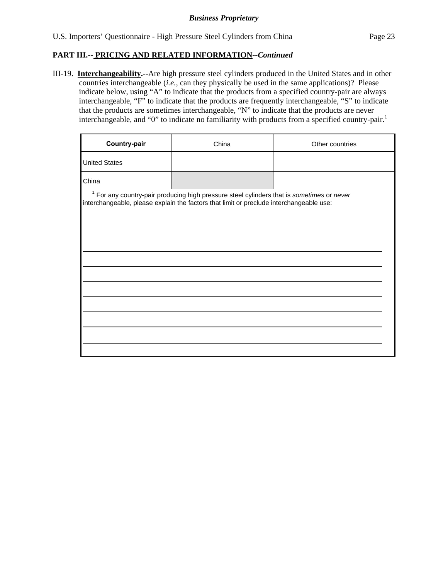III-19. **Interchangeability.--**Are high pressure steel cylinders produced in the United States and in other countries interchangeable (*i.e.*, can they physically be used in the same applications)? Please indicate below, using "A" to indicate that the products from a specified country-pair are always interchangeable, "F" to indicate that the products are frequently interchangeable, "S" to indicate that the products are sometimes interchangeable, "N" to indicate that the products are never interchangeable, and "0" to indicate no familiarity with products from a specified country-pair.<sup>1</sup>

| Country-pair         | China                                                                                                                                                                                           | Other countries |  |
|----------------------|-------------------------------------------------------------------------------------------------------------------------------------------------------------------------------------------------|-----------------|--|
| <b>United States</b> |                                                                                                                                                                                                 |                 |  |
| China                |                                                                                                                                                                                                 |                 |  |
|                      | <sup>1</sup> For any country-pair producing high pressure steel cylinders that is sometimes or never<br>interchangeable, please explain the factors that limit or preclude interchangeable use: |                 |  |
|                      |                                                                                                                                                                                                 |                 |  |
|                      |                                                                                                                                                                                                 |                 |  |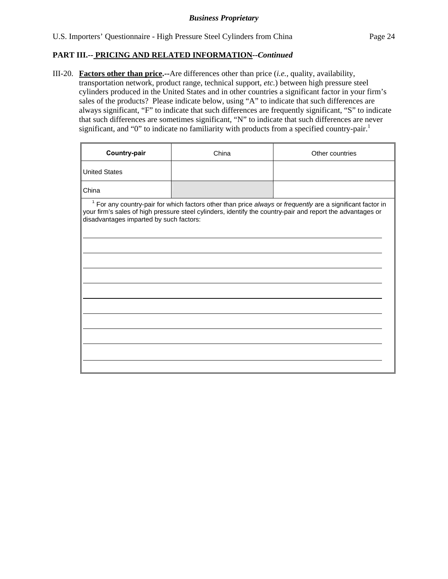III-20. **Factors other than price.--**Are differences other than price (*i.e.*, quality, availability, transportation network, product range, technical support, *etc.*) between high pressure steel cylinders produced in the United States and in other countries a significant factor in your firm's sales of the products? Please indicate below, using "A" to indicate that such differences are always significant, "F" to indicate that such differences are frequently significant, "S" to indicate that such differences are sometimes significant, "N" to indicate that such differences are never significant, and "0" to indicate no familiarity with products from a specified country-pair.<sup>1</sup>

| Country-pair                                                                                                                                                                                                                                                                   | China | Other countries |  |  |  |
|--------------------------------------------------------------------------------------------------------------------------------------------------------------------------------------------------------------------------------------------------------------------------------|-------|-----------------|--|--|--|
| <b>United States</b>                                                                                                                                                                                                                                                           |       |                 |  |  |  |
| China                                                                                                                                                                                                                                                                          |       |                 |  |  |  |
| <sup>1</sup> For any country-pair for which factors other than price always or frequently are a significant factor in<br>your firm's sales of high pressure steel cylinders, identify the country-pair and report the advantages or<br>disadvantages imparted by such factors: |       |                 |  |  |  |
|                                                                                                                                                                                                                                                                                |       |                 |  |  |  |